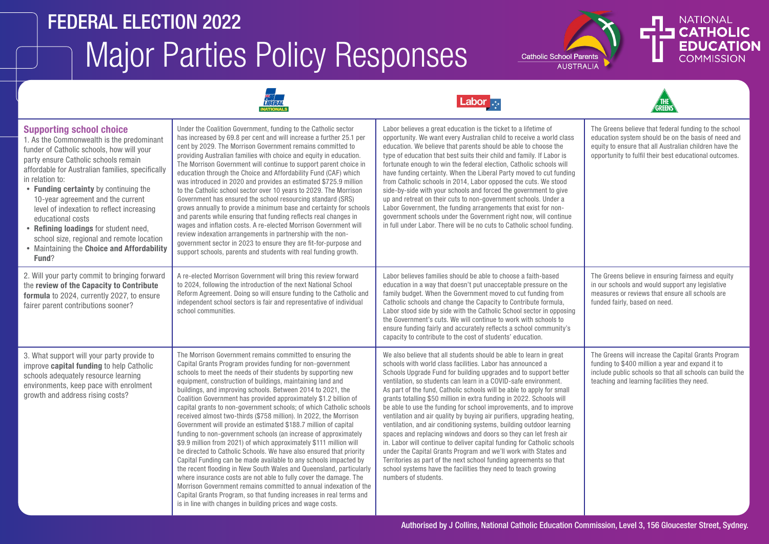# Major Parties Policy Responses FEDERAL ELECTION 2022





GREENS





| <b>Supporting school choice</b><br>1. As the Commonwealth is the predominant<br>funder of Catholic schools, how will your<br>party ensure Catholic schools remain<br>affordable for Australian families, specifically<br>in relation to:<br>• Funding certainty by continuing the<br>10-year agreement and the current<br>level of indexation to reflect increasing<br>educational costs<br>• Refining loadings for student need,<br>school size, regional and remote location<br>• Maintaining the Choice and Affordability<br>Fund? | Under the Coalition Government, funding to the Catholic sector<br>has increased by 69.8 per cent and will increase a further 25.1 per<br>cent by 2029. The Morrison Government remains committed to<br>providing Australian families with choice and equity in education.<br>The Morrison Government will continue to support parent choice in<br>education through the Choice and Affordability Fund (CAF) which<br>was introduced in 2020 and provides an estimated \$725.9 million<br>to the Catholic school sector over 10 years to 2029. The Morrison<br>Government has ensured the school resourcing standard (SRS)<br>grows annually to provide a minimum base and certainty for schools<br>and parents while ensuring that funding reflects real changes in<br>wages and inflation costs. A re-elected Morrison Government will<br>review indexation arrangements in partnership with the non-<br>government sector in 2023 to ensure they are fit-for-purpose and<br>support schools, parents and students with real funding growth.                                                                                                                                                                                                      | Labor believes a great education is the ticket to a lifetime of<br>opportunity. We want every Australian child to receive a world class<br>education. We believe that parents should be able to choose the<br>type of education that best suits their child and family. If Labor is<br>fortunate enough to win the federal election, Catholic schools will<br>have funding certainty. When the Liberal Party moved to cut funding<br>from Catholic schools in 2014, Labor opposed the cuts. We stood<br>side-by-side with your schools and forced the government to give<br>up and retreat on their cuts to non-government schools. Under a<br>Labor Government, the funding arrangements that exist for non-<br>government schools under the Government right now, will continue<br>in full under Labor. There will be no cuts to Catholic school funding.                                                                                                                                                                       | The Greens believe that federal funding to the school<br>education system should be on the basis of need and<br>equity to ensure that all Australian children have the<br>opportunity to fulfil their best educational outcomes. |
|---------------------------------------------------------------------------------------------------------------------------------------------------------------------------------------------------------------------------------------------------------------------------------------------------------------------------------------------------------------------------------------------------------------------------------------------------------------------------------------------------------------------------------------|----------------------------------------------------------------------------------------------------------------------------------------------------------------------------------------------------------------------------------------------------------------------------------------------------------------------------------------------------------------------------------------------------------------------------------------------------------------------------------------------------------------------------------------------------------------------------------------------------------------------------------------------------------------------------------------------------------------------------------------------------------------------------------------------------------------------------------------------------------------------------------------------------------------------------------------------------------------------------------------------------------------------------------------------------------------------------------------------------------------------------------------------------------------------------------------------------------------------------------------------------|-----------------------------------------------------------------------------------------------------------------------------------------------------------------------------------------------------------------------------------------------------------------------------------------------------------------------------------------------------------------------------------------------------------------------------------------------------------------------------------------------------------------------------------------------------------------------------------------------------------------------------------------------------------------------------------------------------------------------------------------------------------------------------------------------------------------------------------------------------------------------------------------------------------------------------------------------------------------------------------------------------------------------------------|----------------------------------------------------------------------------------------------------------------------------------------------------------------------------------------------------------------------------------|
| 2. Will your party commit to bringing forward<br>the review of the Capacity to Contribute<br>formula to 2024, currently 2027, to ensure<br>fairer parent contributions sooner?                                                                                                                                                                                                                                                                                                                                                        | A re-elected Morrison Government will bring this review forward<br>to 2024, following the introduction of the next National School<br>Reform Agreement. Doing so will ensure funding to the Catholic and<br>independent school sectors is fair and representative of individual<br>school communities.                                                                                                                                                                                                                                                                                                                                                                                                                                                                                                                                                                                                                                                                                                                                                                                                                                                                                                                                             | Labor believes families should be able to choose a faith-based<br>education in a way that doesn't put unacceptable pressure on the<br>family budget. When the Government moved to cut funding from<br>Catholic schools and change the Capacity to Contribute formula,<br>Labor stood side by side with the Catholic School sector in opposing<br>the Government's cuts. We will continue to work with schools to<br>ensure funding fairly and accurately reflects a school community's<br>capacity to contribute to the cost of students' education.                                                                                                                                                                                                                                                                                                                                                                                                                                                                              | The Greens believe in ensuring fairness and equity<br>in our schools and would support any legislative<br>measures or reviews that ensure all schools are<br>funded fairly, based on need.                                       |
| 3. What support will your party provide to<br>improve capital funding to help Catholic<br>schools adequately resource learning<br>environments, keep pace with enrolment<br>growth and address rising costs?                                                                                                                                                                                                                                                                                                                          | The Morrison Government remains committed to ensuring the<br>Capital Grants Program provides funding for non-government<br>schools to meet the needs of their students by supporting new<br>equipment, construction of buildings, maintaining land and<br>buildings, and improving schools. Between 2014 to 2021, the<br>Coalition Government has provided approximately \$1.2 billion of<br>capital grants to non-government schools; of which Catholic schools<br>received almost two-thirds (\$758 million). In 2022, the Morrison<br>Government will provide an estimated \$188.7 million of capital<br>funding to non-government schools (an increase of approximately<br>\$9.9 million from 2021) of which approximately \$111 million will<br>be directed to Catholic Schools. We have also ensured that priority<br>Capital Funding can be made available to any schools impacted by<br>the recent flooding in New South Wales and Queensland, particularly<br>where insurance costs are not able to fully cover the damage. The<br>Morrison Government remains committed to annual indexation of the<br>Capital Grants Program, so that funding increases in real terms and<br>is in line with changes in building prices and wage costs. | We also believe that all students should be able to learn in great<br>schools with world class facilities. Labor has announced a<br>Schools Upgrade Fund for building upgrades and to support better<br>ventilation, so students can learn in a COVID-safe environment.<br>As part of the fund, Catholic schools will be able to apply for small<br>grants totalling \$50 million in extra funding in 2022. Schools will<br>be able to use the funding for school improvements, and to improve<br>ventilation and air quality by buying air purifiers, upgrading heating,<br>ventilation, and air conditioning systems, building outdoor learning<br>spaces and replacing windows and doors so they can let fresh air<br>in. Labor will continue to deliver capital funding for Catholic schools<br>under the Capital Grants Program and we'll work with States and<br>Territories as part of the next school funding agreements so that<br>school systems have the facilities they need to teach growing<br>numbers of students. | The Greens will increase the Capital Grants Program<br>funding to \$400 million a year and expand it to<br>include public schools so that all schools can build the<br>teaching and learning facilities they need.               |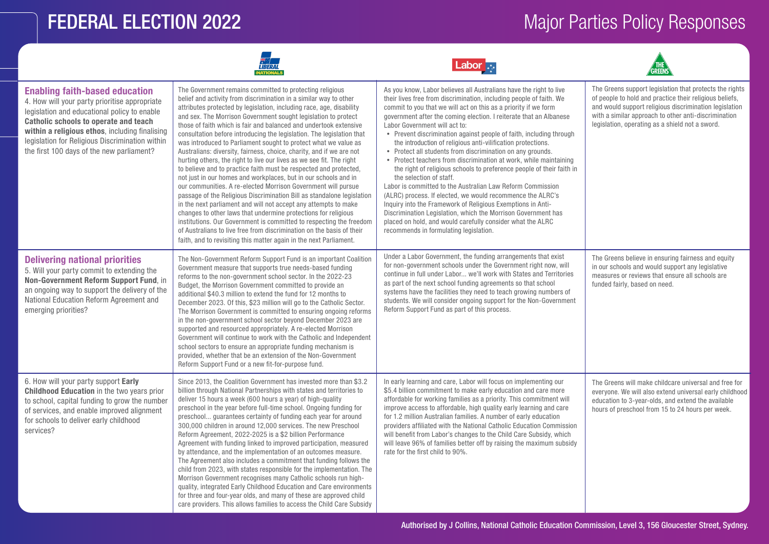services?

#### **FEDERAL ELECTION 2022 Major Parties Policy Responses**



care providers. This allows families to access the Child Care Subsidy